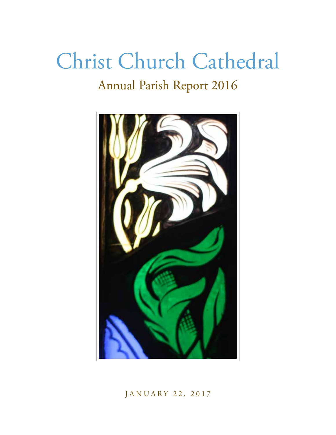# Christ Church Cathedral Annual Parish Report 2016



JANUARY 22, 2017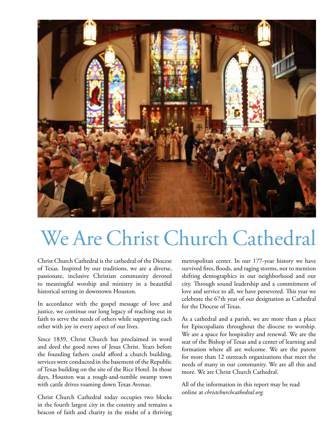

# We Are Christ Church Cathedral

Christ Church Cathedral is the cathedral of the Diocese of Texas. Inspired by our traditions, we are a diverse, passionate, inclusive Christian community devoted to meaningful worship and ministry in a beautiful historical setting in downtown Houston.

In accordance with the gospel message of love and justice, we continue our long legacy of reaching out in faith to serve the needs of others while supporting each other with joy in every aspect of our lives.

Since 1839, Christ Church has proclaimed in word and deed the good news of Jesus Christ. Years before the founding fathers could afford a church building, services were conducted in the basement of the Republic of Texas building on the site of the Rice Hotel. In those days, Houston was a rough-and-tumble swamp town with cattle drives roaming down Texas Avenue.

Christ Church Cathedral today occupies two blocks in the fourth largest city in the country and remains a beacon of faith and charity in the midst of a thriving metropolitan center. In our 177-year history we have survived fires, floods, and raging storms, not to mention shifting demographics in our neighborhood and our city. Through sound leadership and a commitment of love and service to all, we have persevered. This year we celebrate the 67th year of our designation as Cathedral for the Diocese of Texas.

As a cathedral and a parish, we are more than a place for Episcopalians throughout the diocese to worship. We are a space for hospitality and renewal. We are the seat of the Bishop of Texas and a center of learning and formation where all are welcome. We are the parent for more than 12 outreach organizations that meet the needs of many in our community. We are all this and more. We are Christ Church Cathedral.

All of the information in this report may be read online at *christchurchcathedral.org.*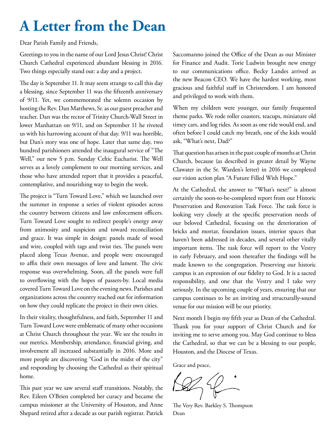## **A Letter from the Dean**

Dear Parish Family and Friends,

Greetings to you in the name of our Lord Jesus Christ! Christ Church Cathedral experienced abundant blessing in 2016. Two things especially stand out: a day and a project.

The day is September 11. It may seem strange to call this day a blessing, since September 11 was the fifteenth anniversary of 9/11. Yet, we commemorated the solemn occasion by hosting the Rev. Dan Matthews, Sr. as our guest preacher and teacher. Dan was the rector of Trinity Church-Wall Street in lower Manhattan on 9/11, and on September 11 he riveted us with his harrowing account of that day. 9/11 was horrible, but Dan's story was one of hope. Later that same day, two hundred parishioners attended the inaugural service of "The Well," our new 5 p.m. Sunday Celtic Eucharist. The Well serves as a lovely complement to our morning services, and those who have attended report that it provides a peaceful, contemplative, and nourishing way to begin the week.

The project is "Turn Toward Love," which we launched over the summer in response a series of violent episodes across the country between citizens and law enforcement officers. Turn Toward Love sought to redirect people's energy away from animosity and suspicion and toward reconciliation and grace. It was simple in design: panels made of wood and wire, coupled with tags and twist ties. The panels were placed along Texas Avenue, and people were encouraged to affix their own messages of love and lament. The civic response was overwhelming. Soon, all the panels were full to overflowing with the hopes of passers-by. Local media covered Turn Toward Love on the evening news. Parishes and organizations across the country reached out for information on how they could replicate the project in their own cities.

In their vitality, thoughtfulness, and faith, September 11 and Turn Toward Love were emblematic of many other occasions at Christ Church throughout the year. We see the results in our metrics. Membership, attendance, financial giving, and involvement all increased substantially in 2016. More and more people are discovering "God in the midst of the city" and responding by choosing the Cathedral as their spiritual home.

This past year we saw several staff transitions. Notably, the Rev. Eileen O'Brien completed her curacy and became the campus missioner at the University of Houston, and Anne Shepard retired after a decade as our parish registrar. Patrick

Saccomanno joined the Office of the Dean as our Minister for Finance and Audit. Torie Ludwin brought new energy to our communications office. Becky Landes arrived as the new Beacon CEO. We have the hardest working, most gracious and faithful staff in Christendom. I am honored and privileged to work with them.

When my children were younger, our family frequented theme parks. We rode roller coasters, teacups, miniature old timey cars, and log rides. As soon as one ride would end, and often before I could catch my breath, one of the kids would ask, "What's next, Dad?"

That question has arisen in the past couple of months at Christ Church, because (as described in greater detail by Wayne Clawater in the Sr. Warden's letter) in 2016 we completed our vision action plan "A Future Filled With Hope."

At the Cathedral, the answer to "What's next?" is almost certainly the soon-to-be-completed report from our Historic Preservation and Renovation Task Force. The task force is looking very closely at the specific preservation needs of our beloved Cathedral, focusing on the deterioration of bricks and mortar, foundation issues, interior spaces that haven't been addressed in decades, and several other vitally important items. The task force will report to the Vestry in early February, and soon thereafter the findings will be made known to the congregation. Preserving our historic campus is an expression of our fidelity to God. It is a sacred responsibility, and one that the Vestry and I take very seriously. In the upcoming couple of years, ensuring that our campus continues to be an inviting and structurally-sound venue for our mission will be our priority.

Next month I begin my fifth year as Dean of the Cathedral. Thank you for your support of Christ Church and for inviting me to serve among you. May God continue to bless the Cathedral, so that we can be a blessing to our people, Houston, and the Diocese of Texas.

Grace and peace,

The Very Rev. Barkley S. Thompson Dean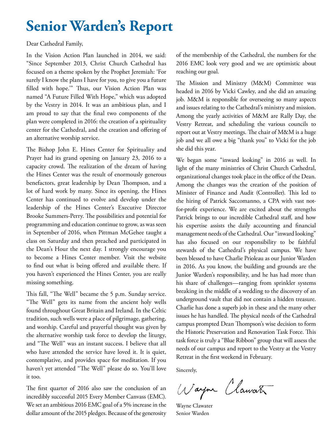## **Senior Warden's Report**

Dear Cathedral Family,

In the Vision Action Plan launched in 2014, we said: "Since September 2013, Christ Church Cathedral has focused on a theme spoken by the Prophet Jeremiah: 'For surely I know the plans I have for you, to give you a future filled with hope.'" Thus, our Vision Action Plan was named "A Future Filled With Hope," which was adopted by the Vestry in 2014. It was an ambitious plan, and I am proud to say that the final two components of the plan were completed in 2016: the creation of a spirituality center for the Cathedral, and the creation and offering of an alternative worship service.

The Bishop John E. Hines Center for Spirituality and Prayer had its grand opening on January 23, 2016 to a capacity crowd. The realization of the dream of having the Hines Center was the result of enormously generous benefactors, great leadership by Dean Thompson, and a lot of hard work by many. Since its opening, the Hines Center has continued to evolve and develop under the leadership of the Hines Center's Executive Director Brooke Summers-Perry. The possibilities and potential for programming and education continue to grow, as was seen in September of 2016, when Pittman McGehee taught a class on Saturday and then preached and participated in the Dean's Hour the next day. I strongly encourage you to become a Hines Center member. Visit the website to find out what is being offered and available there. If you haven't experienced the Hines Center, you are really missing something.

This fall, "The Well" became the 5 p.m. Sunday service. "The Well" gets its name from the ancient holy wells found throughout Great Britain and Ireland. In the Celtic tradition, such wells were a place of pilgrimage, gathering, and worship. Careful and prayerful thought was given by the alternative worship task force to develop the liturgy, and "The Well" was an instant success. I believe that all who have attended the service have loved it. It is quiet, contemplative, and provides space for meditation. If you haven't yet attended "The Well" please do so. You'll love it too.

The first quarter of 2016 also saw the conclusion of an incredibly successful 2015 Every Member Canvass (EMC). We set an ambitious 2016 EMC goal of a 5% increase in the dollar amount of the 2015 pledges. Because of the generosity

of the membership of the Cathedral, the numbers for the 2016 EMC look very good and we are optimistic about reaching our goal.

The Mission and Ministry (M&M) Committee was headed in 2016 by Vicki Cawley, and she did an amazing job. M&M is responsible for overseeing so many aspects and issues relating to the Cathedral's ministry and mission. Among the yearly activities of M&M are Rally Day, the Vestry Retreat, and scheduling the various councils to report out at Vestry meetings. The chair of M&M is a huge job and we all owe a big "thank you" to Vicki for the job she did this year.

We began some "inward looking" in 2016 as well. In light of the many ministries of Christ Church Cathedral, organizational changes took place in the office of the Dean. Among the changes was the creation of the position of Minister of Finance and Audit (Controller). This led to the hiring of Patrick Saccomanno, a CPA with vast notfor-profit experience. We are excited about the strengths Patrick brings to our incredible Cathedral staff, and how his expertise assists the daily accounting and financial management needs of the Cathedral. Our "inward looking" has also focused on our responsibility to be faithful stewards of the Cathedral's physical campus. We have been blessed to have Charlie Prioleau as our Junior Warden in 2016. As you know, the building and grounds are the Junior Warden's responsibility, and he has had more than his share of challenges—ranging from sprinkler systems breaking in the middle of a wedding to the discovery of an underground vault that did not contain a hidden treasure. Charlie has done a superb job in these and the many other issues he has handled. The physical needs of the Cathedral campus prompted Dean Thompson's wise decision to form the Historic Preservation and Renovation Task Force. This task force is truly a "Blue Ribbon" group that will assess the needs of our campus and report to the Vestry at the Vestry Retreat in the first weekend in February.

Sincerely,

Wayne Clawate

Wayne Clawater Senior Warden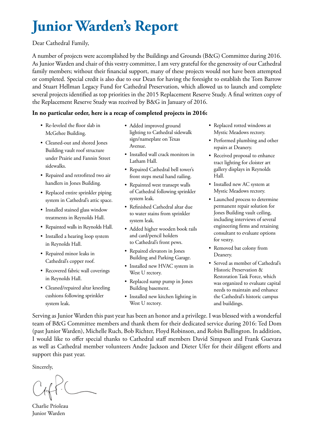## **Junior Warden's Report**

#### Dear Cathedral Family,

A number of projects were accomplished by the Buildings and Grounds (B&G) Committee during 2016. As Junior Warden and chair of this vestry committee, I am very grateful for the generosity of our Cathedral family members; without their financial support, many of these projects would not have been attempted or completed. Special credit is also due to our Dean for having the foresight to establish the Tom Barrow and Stuart Hellman Legacy Fund for Cathedral Preservation, which allowed us to launch and complete several projects identified as top priorities in the 2015 Replacement Reserve Study. A final written copy of the Replacement Reserve Study was received by B&G in January of 2016.

#### **In no particular order, here is a recap of completed projects in 2016:**

- Re-leveled the floor slab in McGehee Building.
- Cleaned-out and shored Jones Building vault roof structure under Prairie and Fannin Street sidewalks.
- Repaired and retrofitted two air handlers in Jones Building.
- Replaced entire sprinkler piping system in Cathedral's attic space.
- Installed stained glass window treatments in Reynolds Hall.
- Repainted walls in Reynolds Hall.
- Installed a hearing loop system in Reynolds Hall.
- Repaired minor leaks in Cathedral's copper roof.
- Recovered fabric wall coverings in Reynolds Hall.
- Cleaned/repaired altar kneeling cushions following sprinkler system leak.
- Added improved ground lighting to Cathedral sidewalk sign/nameplate on Texas Avenue.
- Installed wall crack monitors in Latham Hall.
- Repaired Cathedral bell tower's front steps metal hand railing.
- Repainted west transept walls of Cathedral following sprinkler system leak.
- Refinished Cathedral altar due to water stains from sprinkler system leak.
- Added higher wooden book rails and card/pencil holders to Cathedral's front pews.
- Repaired elevators in Jones Building and Parking Garage.
- Installed new HVAC system in West U rectory.
- Replaced sump pump in Jones Building basement.
- Installed new kitchen lighting in West U rectory.
- Replaced rotted windows at Mystic Meadows rectory.
- Performed plumbing and other repairs at Deanery.
- Received proposal to enhance tract lighting for cloister art gallery displays in Reynolds Hall.
- Installed new AC system at Mystic Meadows rectory.
- Launched process to determine permanent repair solution for Jones Building vault ceiling, including interviews of several engineering firms and retaining consultant to evaluate options for vestry.
- Removed bat colony from Deanery.
- Served as member of Cathedral's Historic Preservation & Restoration Task Force, which was organized to evaluate capital needs to maintain and enhance the Cathedral's historic campus and buildings.

Serving as Junior Warden this past year has been an honor and a privilege. I was blessed with a wonderful team of B&G Committee members and thank them for their dedicated service during 2016: Ted Dom (past Junior Warden), Michelle Ruch, Bob Richter, Floyd Robinson, and Robin Bullington. In addition, I would like to offer special thanks to Cathedral staff members David Simpson and Frank Guevara as well as Cathedral member volunteers Andre Jackson and Dieter Ufer for their diligent efforts and support this past year.

Sincerely,

Charlie Prioleau Junior Warden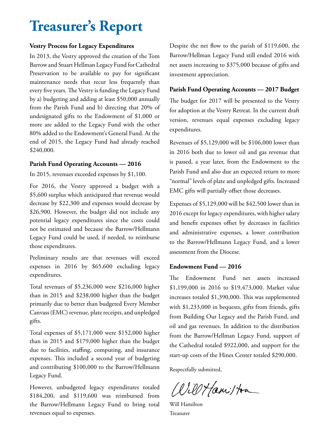## **Treasurer's Report**

#### **Vestry Process for Legacy Expenditures**

In 2013, the Vestry approved the creation of the Tom Barrow and Stuart Hellman Legacy Fund for Cathedral Preservation to be available to pay for significant maintenance needs that recur less frequently than every five years. The Vestry is funding the Legacy Fund by a) budgeting and adding at least \$50,000 annually from the Parish Fund and b) directing that 20% of undesignated gifts to the Endowment of \$1,000 or more are added to the Legacy Fund with the other 80% added to the Endowment's General Fund. At the end of 2015, the Legacy Fund had already reached \$240,000.

#### **Parish Fund Operating Accounts — 2016**

In 2015, revenues exceeded expenses by \$1,100.

For 2016, the Vestry approved a budget with a \$5,600 surplus which anticipated that revenue would decrease by \$22,300 and expenses would decrease by \$26,900. However, the budget did not include any potential legacy expenditures since the costs could not be estimated and because the Barrow/Hellmann Legacy Fund could be used, if needed, to reimburse those expenditures.

Preliminary results are that revenues will exceed expenses in 2016 by \$65,600 excluding legacy expenditures.

Total revenues of \$5,236,000 were \$216,000 higher than in 2015 and \$238,000 higher than the budget primarily due to better than budgeted Every Member Canvass (EMC) revenue, plate receipts, and unpledged gifts.

Total expenses of \$5,171,000 were \$152,000 higher than in 2015 and \$179,000 higher than the budget due to facilities, staffing, computing, and insurance expenses. This included a second year of budgeting and contributing \$100,000 to the Barrow/Hellmann Legacy Fund.

However, unbudgeted legacy expenditures totaled \$184,200, and \$119,600 was reimbursed from the Barrow/Hellmann Legacy Fund to bring total revenues equal to expenses.

Despite the net flow to the parish of \$119,600, the Barrow/Hellman Legacy Fund still ended 2016 with net assets increasing to \$375,000 because of gifts and investment appreciation.

#### **Parish Fund Operating Accounts — 2017 Budget**

The budget for 2017 will be presented to the Vestry for adoption at the Vestry Retreat. In the current draft version, revenues equal expenses excluding legacy expenditures.

Revenues of \$5,129,000 will be \$106,000 lower than in 2016 both due to lower oil and gas revenue that is passed, a year later, from the Endowment to the Parish Fund and also due an expected return to more "normal" levels of plate and unpledged gifts. Increased EMC gifts will partially offset those decreases.

Expenses of \$5,129,000 will be \$42,500 lower than in 2016 except for legacy expenditures, with higher salary and benefit expenses offset by decreases in facilities and administrative expenses, a lower contribution to the Barrow/Hellmann Legacy Fund, and a lower assessment from the Diocese.

#### **Endowment Fund — 2016**

The Endowment Fund net assets increased \$1,199,000 in 2016 to \$19,473,000. Market value increases totaled \$1,390,000. This was supplemented with \$1,233,000 in bequests, gifts from friends, gifts from Building Our Legacy and the Parish Fund, and oil and gas revenues. In addition to the distribution from the Barrow/Hellman Legacy Fund, support of the Cathedral totaled \$922,000, and support for the start-up costs of the Hines Center totaled \$290,000.

Respectfully submitted,

Will Hamilton

Will Hamilton Treasurer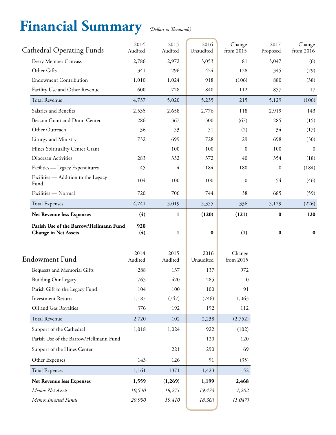## **Financial Summary** *(Dollars in Thousands)*

| <b>Cathedral Operating Funds</b>                             | 2014<br>Audited | 2015<br>Audited | 2016<br>Unaudited | Change<br>from 2015     | 2017<br>Proposed | Change<br>from 2016 |
|--------------------------------------------------------------|-----------------|-----------------|-------------------|-------------------------|------------------|---------------------|
| Every Member Canvass                                         | 2,786           | 2,972           | 3,053             | 81                      | 3,047            | (6)                 |
| Other Gifts                                                  | 341             | 296             | 424               | 128                     | 345              | (79)                |
| <b>Endowment Contribution</b>                                | 1,010           | 1,024           | 918               | (106)                   | 880              | (38)                |
| Facility Use and Other Revenue                               | 600             | 728             | 840               | 112                     | 857              | 17                  |
| <b>Total Revenue</b>                                         | 4,737           | 5,020           | 5,235             | 215                     | 5,129            | (106)               |
| Salaries and Benefits                                        | 2,535           | 2,658           | 2,776             | 118                     | 2,919            | 143                 |
| Beacon Grant and Dunn Center                                 | 286             | 367             | 300               | (67)                    | 285              | (15)                |
| Other Outreach                                               | 36              | 53              | 51                | (2)                     | 34               | (17)                |
| Liturgy and Ministry                                         | 732             | 699             | 728               | 29                      | 698              | (30)                |
| Hines Spirituality Center Grant                              |                 | 100             | 100               | $\mathbf{0}$            | 100              | $\mathbf{0}$        |
| Diocesan Activities                                          | 283             | 332             | 372               | 40                      | 354              | (18)                |
| Facilities — Legacy Expenditures                             | 45              | $\overline{4}$  | 184               | 180                     | $\mathbf{0}$     | (184)               |
| Facilities - Addition to the Legacy<br>Fund                  | 104             | 100             | 100               | $\mathbf{0}$            | 54               | (46)                |
| Facilities - Normal                                          | 720             | 706             | 744               | 38                      | 685              | (59)                |
| <b>Total Expenses</b>                                        | 4,741           | 5,019           | 5,355             | 336                     | 5,129            | (226)               |
| Net Revenue less Expenses                                    | (4)             | 1               | (120)             | (121)                   | $\bf{0}$         | 120                 |
|                                                              |                 |                 |                   |                         |                  |                     |
| Parish Use of the Barrow/Hellmann Fund                       | 920             |                 |                   |                         |                  |                     |
| <b>Change in Net Assets</b>                                  | (4)             | 1               | $\bf{0}$          | (1)                     | $\bf{0}$         | $\bf{0}$            |
|                                                              |                 |                 |                   |                         |                  |                     |
| <b>Endowment Fund</b>                                        | 2014<br>Audited | 2015<br>Audited | 2016<br>Unaudited | Change                  |                  |                     |
|                                                              | 288             |                 |                   | from 2015               |                  |                     |
| Bequests and Memorial Gifts                                  | 765             | 137<br>420      | 137<br>285        | 972<br>$\boldsymbol{0}$ |                  |                     |
| <b>Building Our Legacy</b><br>Parish Gift to the Legacy Fund | 104             | 100             | 100               | 91                      |                  |                     |
| <b>Investment Return</b>                                     | 1,187           | (747)           | (746)             | 1,063                   |                  |                     |
| Oil and Gas Royalties                                        | 376             | 192             | 192               | 112                     |                  |                     |
| <b>Total Revenue</b>                                         | 2,720           | 102             | 2,238             | (2,752)                 |                  |                     |
| Support of the Cathedral                                     | 1,018           | 1,024           | 922               | (102)                   |                  |                     |
| Parish Use of the Barrow/Hellmann Fund                       |                 |                 | 120               | 120                     |                  |                     |
| Support of the Hines Center                                  |                 | 221             | 290               | 69                      |                  |                     |
| Other Expenses                                               | 143             | 126             | 91                | (35)                    |                  |                     |
| <b>Total Expenses</b>                                        | 1,161           | 1371            | 1,423             | 52                      |                  |                     |
| Net Revenue less Expenses                                    | 1,559           | (1,269)         | 1,199             | 2,468                   |                  |                     |
| Memo: Net Assets                                             | 19,540          | 18,271          | 19,473            | 1,202                   |                  |                     |
| Memo: Invested Funds                                         | 20,990          | 19,410          | 18,363            | (1,047)                 |                  |                     |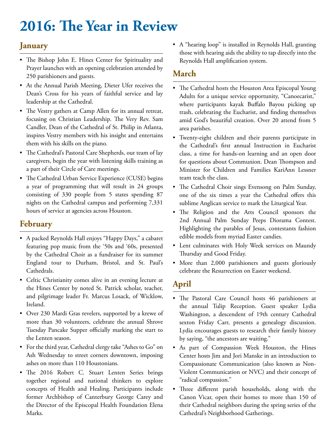## **2016: The Year in Review**

## **January**

- The Bishop John E. Hines Center for Spirituality and Prayer launches with an opening celebration attended by 250 parishioners and guests.
- At the Annual Parish Meeting, Dieter Ufer receives the Dean's Cross for his years of faithful service and lay leadership at the Cathedral.
- The Vestry gathers at Camp Allen for its annual retreat, focusing on Christian Leadership. The Very Rev. Sam Candler, Dean of the Cathedral of St. Philip in Atlanta, inspires Vestry members with his insight and entertains them with his skills on the piano.
- The Cathedral's Pastoral Care Shepherds, our team of lay caregivers, begin the year with listening skills training as a part of their Circle of Care meetings.
- The Cathedral Urban Service Experience (CUSE) begins a year of programming that will result in 24 groups consisting of 330 people from 5 states spending 87 nights on the Cathedral campus and performing 7,331 hours of service at agencies across Houston.

## **February**

- A packed Reynolds Hall enjoys "Happy Days," a cabaret featuring pop music from the '50s and '60s, presented by the Cathedral Choir as a fundraiser for its summer England tour to Durham, Bristol, and St. Paul's Cathedrals.
- Celtic Christianity comes alive in an evening lecture at the Hines Center by noted St. Patrick scholar, teacher, and pilgrimage leader Fr. Marcus Losack, of Wicklow, Ireland.
- Over 230 Mardi Gras revelers, supported by a krewe of more than 30 volunteers, celebrate the annual Shrove Tuesday Pancake Supper officially marking the start to the Lenten season.
- For the third year, Cathedral clergy take "Ashes to Go" on Ash Wednesday to street corners downtown, imposing ashes on more than 110 Houstonians.
- The 2016 Robert C. Stuart Lenten Series brings together regional and national thinkers to explore concepts of Health and Healing. Participants include former Archbishop of Canterbury George Carey and the Director of the Episcopal Health Foundation Elena Marks.

• A "hearing loop" is installed in Reynolds Hall, granting those with hearing aids the ability to tap directly into the Reynolds Hall amplification system.

### **March**

- The Cathedral hosts the Houston Area Episcopal Young Adults for a unique service opportunity, "Canoecarist," where participants kayak Buffalo Bayou picking up trash, celebrating the Eucharist, and finding themselves amid God's beautiful creation. Over 20 attend from 5 area parishes.
- Twenty-eight children and their parents participate in the Cathedral's first annual Instruction in Eucharist class, a time for hands-on learning and an open door for questions about Communion. Dean Thompson and Minister for Children and Families KariAnn Lessner team teach the class.
- The Cathedral Choir sings Evensong on Palm Sunday, one of the six times a year the Cathedral offers this sublime Anglican service to mark the Liturgical Year.
- The Religion and the Arts Council sponsors the 2nd Annual Palm Sunday Peeps Diorama Contest. Highlighting the parables of Jesus, contestants fashion edible models from myriad Easter candies.
- Lent culminates with Holy Week services on Maundy Thursday and Good Friday.
- More than 2,000 parishioners and guests gloriously celebrate the Resurrection on Easter weekend.

## **April**

- The Pastoral Care Council hosts 46 parishioners at the annual Tulip Reception. Guest speaker Lydia Washington, a descendent of 19th century Cathedral sexton Friday Carr, presents a genealogy discussion. Lydia encourages guests to research their family history by saying, "the ancestors are waiting."
- As part of Compassion Week Houston, the Hines Center hosts Jim and Jori Manske in an introduction to Compassionate Communication (also known as Non-Violent Communication or NVC) and their concept of "radical compassion."
- Three different parish households, along with the Canon Vicar, open their homes to more than 150 of their Cathedral neighbors during the spring series of the Cathedral's Neighborhood Gatherings.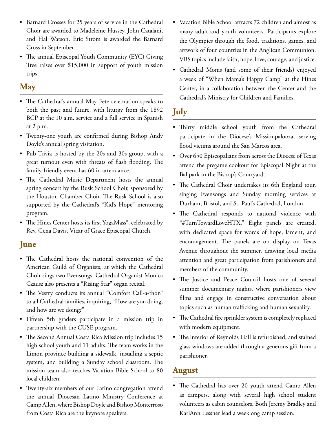- Barnard Crosses for 25 years of service in the Cathedral Choir are awarded to Madeleine Hussey, John Catalani, and Hal Watson. Eric Strom is awarded the Barnard Cross in September.
- The annual Episcopal Youth Community (EYC) Giving Tree raises over \$15,000 in support of youth mission trips.

## **May**

- The Cathedral's annual May Fete celebration speaks to both the past and future, with liturgy from the 1892 BCP at the 10 a.m. service and a full service in Spanish at 2 p.m.
- Twenty-one youth are confirmed during Bishop Andy Doyle's annual spring visitation.
- Pub Trivia is hosted by the 20s and 30s group, with a great turnout even with threats of flash flooding. The family-friendly event has 60 in attendance.
- The Cathedral Music Department hosts the annual spring concert by the Rusk School Choir, sponsored by the Houston Chamber Choir. The Rusk School is also supported by the Cathedral's "Kid's Hope" mentoring program.
- The Hines Center hosts its first YogaMass®, celebrated by Rev. Gena Davis, Vicar of Grace Episcopal Church.

### **June**

- The Cathedral hosts the national convention of the American Guild of Organists, at which the Cathedral Choir sings two Evensongs. Cathedral Organist Monica Czausz also presents a "Rising Star" organ recital.
- The Vestry conducts its annual "Comfort Call-a-thon" to all Cathedral families, inquiring, "How are you doing, and how are we doing?"
- Fifteen 5th graders participate in a mission trip in partnership with the CUSE program.
- The Second Annual Costa Rica Mission trip includes 15 high school youth and 11 adults. The team works in the Limon province building a sidewalk, installing a septic system, and building a Sunday school classroom. The mission team also teaches Vacation Bible School to 80 local children.
- Twenty-six members of our Latino congregation attend the annual Diocesan Latino Ministry Conference at Camp Allen, where Bishop Doyle and Bishop Monterroso from Costa Rica are the keynote speakers.
- Vacation Bible School attracts 72 children and almost as many adult and youth volunteers. Participants explore the Olympics through the food, traditions, games, and artwork of four countries in the Anglican Communion. VBS topics include faith, hope, love, courage, and justice.
- Cathedral Moms (and some of their friends) enjoyed a week of "When Mama's Happy Camp" at the Hines Center, in a collaboration between the Center and the Cathedral's Ministry for Children and Families.

## **July**

- Thirty middle school youth from the Cathedral participate in the Diocese's Missionpalooza, serving flood victims around the San Marcos area.
- Over 650 Episcopalians from across the Diocese of Texas attend the pregame cookout for Episcopal Night at the Ballpark in the Bishop's Courtyard.
- The Cathedral Choir undertakes its 6th England tour, singing Evensongs and Sunday morning services at Durham, Bristol, and St. Paul's Cathedral, London.
- The Cathedral responds to national violence with "#TurnTowardLoveHTX." Eight panels are created, with dedicated space for words of hope, lament, and encouragement. The panels are on display on Texas Avenue throughout the summer, drawing local media attention and great participation from parishioners and members of the community.
- The Justice and Peace Council hosts one of several summer documentary nights, where parishioners view films and engage in constructive conversation about topics such as human trafficking and human sexuality.
- The Cathedral fire sprinkler system is completely replaced with modern equipment.
- The interior of Reynolds Hall is refurbished, and stained glass windows are added through a generous gift from a parishioner.

### **August**

• The Cathedral has over 20 youth attend Camp Allen as campers, along with several high school student volunteers as cabin counselors. Both Jeremy Bradley and KariAnn Lessner lead a weeklong camp session.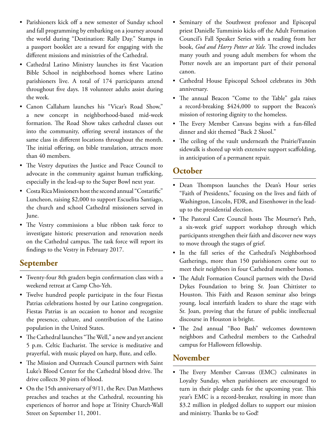- Parishioners kick off a new semester of Sunday school and fall programming by embarking on a journey around the world during "Destination: Rally Day." Stamps in a passport booklet are a reward for engaging with the different missions and ministries of the Cathedral.
- Cathedral Latino Ministry launches its first Vacation Bible School in neighborhood homes where Latino parishioners live. A total of 174 participants attend throughout five days. 18 volunteer adults assist during the week.
- Canon Callaham launches his "Vicar's Road Show," a new concept in neighborhood-based mid-week formation. The Road Show takes cathedral classes out into the community, offering several instances of the same class in different locations throughout the month. The initial offering, on bible translation, attracts more than 40 members.
- The Vestry deputizes the Justice and Peace Council to advocate in the community against human trafficking, especially in the lead-up to the Super Bowl next year.
- Costa Rica Missioners host the second annual "Costarific" Luncheon, raising \$2,000 to support Escuelita Santiago, the church and school Cathedral missioners served in June.
- The Vestry commissions a blue ribbon task force to investigate historic preservation and renovation needs on the Cathedral campus. The task force will report its findings to the Vestry in February 2017.

## **September**

- Twenty-four 8th graders begin confirmation class with a weekend retreat at Camp Cho-Yeh.
- Twelve hundred people participate in the four Fiestas Patrias celebrations hosted by our Latino congregation. Fiestas Patrias is an occasion to honor and recognize the presence, culture, and contribution of the Latino population in the United States.
- The Cathedral launches "The Well," a new and yet ancient 5 p.m. Celtic Eucharist. The service is meditative and prayerful, with music played on harp, flute, and cello.
- The Mission and Outreach Council partners with Saint Luke's Blood Center for the Cathedral blood drive. The drive collects 30 pints of blood.
- On the 15th anniversary of 9/11, the Rev. Dan Matthews preaches and teaches at the Cathedral, recounting his experiences of horror and hope at Trinity Church-Wall Street on September 11, 2001.
- Seminary of the Southwest professor and Episcopal priest Danielle Tumminio kicks off the Adult Formation Council's Fall Speaker Series with a reading from her book, *God and Harry Potter at Yale.* The crowd includes many youth and young adult members for whom the Potter novels are an important part of their personal canon.
- Cathedral House Episcopal School celebrates its 30th anniversary.
- The annual Beacon "Come to the Table" gala raises a record-breaking \$424,000 to support the Beacon's mission of restoring dignity to the homeless.
- The Every Member Canvass begins with a fun-filled dinner and skit themed "Back 2 Skool."
- The ceiling of the vault underneath the Prairie/Fannin sidewalk is shored up with extensive support scaffolding, in anticipation of a permanent repair.

### **October**

- Dean Thompson launches the Dean's Hour series "Faith of Presidents," focusing on the lives and faith of Washington, Lincoln, FDR, and Eisenhower in the leadup to the presidential election.
- The Pastoral Care Council hosts The Mourner's Path, a six-week grief support workshop through which participants strengthen their faith and discover new ways to move through the stages of grief.
- In the fall series of the Cathedral's Neighborhood Gatherings, more than 150 parishioners come out to meet their neighbors in four Cathedral member homes.
- The Adult Formation Council partners with the David Dykes Foundation to bring Sr. Joan Chittister to Houston. This Faith and Reason seminar also brings young, local interfaith leaders to share the stage with Sr. Joan, proving that the future of public intellectual discourse in Houston is bright.
- The 2nd annual "Boo Bash" welcomes downtown neighbors and Cathedral members to the Cathedral campus for Halloween fellowship.

## **November**

• The Every Member Canvass (EMC) culminates in Loyalty Sunday, when parishioners are encouraged to turn in their pledge cards for the upcoming year. This year's EMC is a record-breaker, resulting in more than \$3.2 million in pledged dollars to support our mission and ministry. Thanks be to God!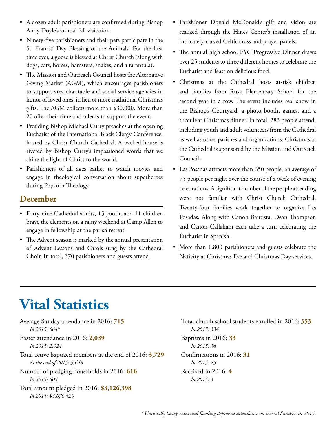- A dozen adult parishioners are confirmed during Bishop Andy Doyle's annual fall visitation.
- Ninety-five parishioners and their pets participate in the St. Francis' Day Blessing of the Animals. For the first time ever, a goose is blessed at Christ Church (along with dogs, cats, horses, hamsters, snakes, and a tarantula).
- The Mission and Outreach Council hosts the Alternative Giving Market (AGM), which encourages parishioners to support area charitable and social service agencies in honor of loved ones, in lieu of more traditional Christmas gifts. The AGM collects more than \$30,000. More than 20 offer their time and talents to support the event.
- Presiding Bishop Michael Curry preaches at the opening Eucharist of the International Black Clergy Conference, hosted by Christ Church Cathedral. A packed house is riveted by Bishop Curry's impassioned words that we shine the light of Christ to the world.
- Parishioners of all ages gather to watch movies and engage in theological conversation about superheroes during Popcorn Theology.

## **December**

- Forty-nine Cathedral adults, 15 youth, and 11 children brave the elements on a rainy weekend at Camp Allen to engage in fellowship at the parish retreat.
- The Advent season is marked by the annual presentation of Advent Lessons and Carols sung by the Cathedral Choir. In total, 370 parishioners and guests attend.
- Parishioner Donald McDonald's gift and vision are realized through the Hines Center's installation of an intricately-carved Celtic cross and prayer panels.
- The annual high school EYC Progressive Dinner draws over 25 students to three different homes to celebrate the Eucharist and feast on delicious food.
- Christmas at the Cathedral hosts at-risk children and families from Rusk Elementary School for the second year in a row. The event includes real snow in the Bishop's Courtyard, a photo booth, games, and a succulent Christmas dinner. In total, 283 people attend, including youth and adult volunteers from the Cathedral as well as other parishes and organizations. Christmas at the Cathedral is sponsored by the Mission and Outreach Council.
- Las Posadas attracts more than 650 people, an average of 75 people per night over the course of a week of evening celebrations. A significant number of the people attending were not familiar with Christ Church Cathedral. Twenty-four families work together to organize Las Posadas. Along with Canon Bautista, Dean Thompson and Canon Callaham each take a turn celebrating the Eucharist in Spanish.
- More than 1,800 parishioners and guests celebrate the Nativity at Christmas Eve and Christmas Day services.

## **Vital Statistics**

Average Sunday attendance in 2016: **715** *In 2015: 664\** Easter attendance in 2016: **2,039** *In 2015: 2,024* Total active baptized members at the end of 2016: **3,729** *At the end of 2015: 3,648* Number of pledging households in 2016: **616** *In 2015: 605* Total amount pledged in 2016: **\$3,126,398** *In 2015: \$3,076,529*

Total church school students enrolled in 2016: **353** *In 2015: 334* Baptisms in 2016: **33** *In 2015: 34* Confirmations in 2016: **31** *In 2015: 25* Received in 2016: **4** *In 2015: 3*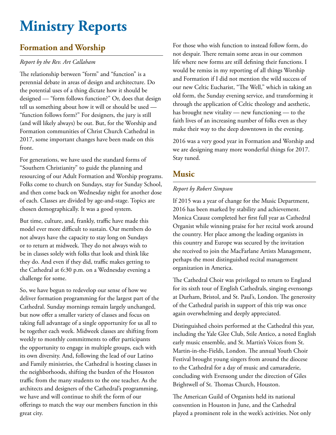## **Ministry Reports**

## **Formation and Worship**

### *Report by the Rev. Art Callaham*

The relationship between "form" and "function" is a perennial debate in areas of design and architecture. Do the potential uses of a thing dictate how it should be designed — "form follows function?" Or, does that design tell us something about how it will or should be used — "function follows form?" For designers, the jury is still (and will likely always) be out. But, for the Worship and Formation communities of Christ Church Cathedral in 2017, some important changes have been made on this front.

For generations, we have used the standard forms of "Southern Christianity" to guide the planning and resourcing of our Adult Formation and Worship programs. Folks come to church on Sundays, stay for Sunday School, and then come back on Wednesday night for another dose of each. Classes are divided by age-and-stage. Topics are chosen demographically. It was a good system.

But time, culture, and, frankly, traffic have made this model ever more difficult to sustain. Our members do not always have the capacity to stay long on Sundays or to return at midweek. They do not always wish to be in classes solely with folks that look and think like they do. And even if they did, traffic makes getting to the Cathedral at 6:30 p.m. on a Wednesday evening a challenge for some.

So, we have begun to redevelop our sense of how we deliver formation programming for the largest part of the Cathedral. Sunday mornings remain largely unchanged, but now offer a smaller variety of classes and focus on taking full advantage of a single opportunity for us all to be together each week. Midweek classes are shifting from weekly to monthly commitments to offer participants the opportunity to engage in multiple groups, each with its own diversity. And, following the lead of our Latino and Family ministries, the Cathedral is hosting classes in the neighborhoods, shifting the burden of the Houston traffic from the many students to the one teacher. As the architects and designers of the Cathedral's programming, we have and will continue to shift the form of our offerings to match the way our members function in this great city.

For those who wish function to instead follow form, do not despair. There remain some areas in our common life where new forms are still defining their functions. I would be remiss in my reporting of all things Worship and Formation if I did not mention the wild success of our new Celtic Eucharist, "The Well," which in taking an old form, the Sunday evening service, and transforming it through the application of Celtic theology and aesthetic, has brought new vitality — new functioning — to the faith lives of an increasing number of folks even as they make their way to the deep downtown in the evening.

2016 was a very good year in Formation and Worship and we are designing many more wonderful things for 2017. Stay tuned.

### **Music**

#### *Report by Robert Simpson*

If 2015 was a year of change for the Music Department, 2016 has been marked by stability and achievement. Monica Czausz completed her first full year as Cathedral Organist while winning praise for her recital work around the country. Her place among the leading organists in this country and Europe was secured by the invitation she received to join the MacFarlane Artists Management, perhaps the most distinguished recital management organization in America.

The Cathedral Choir was privileged to return to England for its sixth tour of English Cathedrals, singing evensongs at Durham, Bristol, and St. Paul's, London. The generosity of the Cathedral parish in support of this trip was once again overwhelming and deeply appreciated.

Distinguished choirs performed at the Cathedral this year, including the Yale Glee Club, Stile Antico, a noted English early music ensemble, and St. Martin's Voices from St. Martin-in-the-Fields, London. The annual Youth Choir Festival brought young singers from around the diocese to the Cathedral for a day of music and camaraderie, concluding with Evensong under the direction of Giles Brightwell of St. Thomas Church, Houston.

The American Guild of Organists held its national convention in Houston in June, and the Cathedral played a prominent role in the week's activities. Not only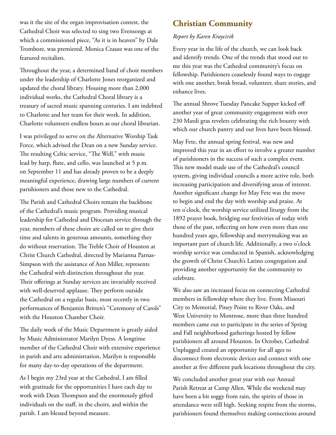was it the site of the organ improvisation contest, the Cathedral Choir was selected to sing two Evensongs at which a commissioned piece, "As it is in heaven" by Dale Trombore, was premiered. Monica Czausz was one of the featured recitalists.

Throughout the year, a determined band of choir members under the leadership of Charlotte Jones reorganized and updated the choral library. Housing more than 2,000 individual works, the Cathedral Choral library is a treasury of sacred music spanning centuries. I am indebted to Charlotte and her team for their work. In addition, Charlotte volunteers endless hours as our choral librarian.

I was privileged to serve on the Alternative Worship Task Force, which advised the Dean on a new Sunday service. The resulting Celtic service, "The Well," with music lead by harp, flute, and cello, was launched at 5 p.m. on September 11 and has already proven to be a deeply meaningful experience, drawing large numbers of current parishioners and those new to the Cathedral.

The Parish and Cathedral Choirs remain the backbone of the Cathedral's music program. Providing musical leadership for Cathedral and Diocesan service through the year, members of these choirs are called on to give their time and talents in generous amounts, something they do without reservation. The Treble Choir of Houston at Christ Church Cathedral, directed by Marianna Parnas-Simpson with the assistance of Ann Miller, represents the Cathedral with distinction throughout the year. Their offerings at Sunday services are invariably received with well-deserved applause. They perform outside the Cathedral on a regular basis, most recently in two performances of Benjamin Britten's "Ceremony of Carols" with the Houston Chamber Choir.

The daily work of the Music Department is greatly aided by Music Administrator Marilyn Dyess. A longtime member of the Cathedral Choir with extensive experience in parish and arts administration, Marilyn is responsible for many day-to-day operations of the department.

As I begin my 23rd year at the Cathedral, I am filled with gratitude for the opportunities I have each day to work with Dean Thompson and the enormously gifted individuals on the staff, in the choirs, and within the parish. I am blessed beyond measure.

## **Christian Community**

### *Report by Karen Kraycirik*

Every year in the life of the church, we can look back and identify trends. One of the trends that stood out to me this year was the Cathedral community's focus on fellowship. Parishioners ceaselessly found ways to engage with one another, break bread, volunteer, share stories, and enhance lives.

The annual Shrove Tuesday Pancake Supper kicked off another year of great community engagement with over 230 Mardi gras revelers celebrating the rich bounty with which our church pantry and our lives have been blessed.

May Fete, the annual spring festival, was new and improved this year in an effort to involve a greater number of parishioners in the success of such a complex event. This new model made use of the Cathedral's council system, giving individual councils a more active role, both increasing participation and diversifying areas of interest. Another significant change for May Fete was the move to begin and end the day with worship and praise. At ten o'clock, the worship service utilized liturgy from the 1892 prayer book, bridging our festivities of today with those of the past, reflecting on how even more than one hundred years ago, fellowship and merrymaking was an important part of church life. Additionally, a two o'clock worship service was conducted in Spanish, acknowledging the growth of Christ Church's Latino congregation and providing another opportunity for the community to celebrate.

We also saw an increased focus on connecting Cathedral members in fellowship where they live. From Missouri City to Memorial, Piney Point to River Oaks, and West University to Montrose, more than three hundred members came out to participate in the series of Spring and Fall neighborhood gatherings hosted by fellow parishioners all around Houston. In October, Cathedral Unplugged created an opportunity for all ages to disconnect from electronic devices and connect with one another at five different park locations throughout the city.

We concluded another great year with our Annual Parish Retreat at Camp Allen. While the weekend may have been a bit soggy from rain, the spirits of those in attendance were still high. Seeking respite from the storms, parishioners found themselves making connections around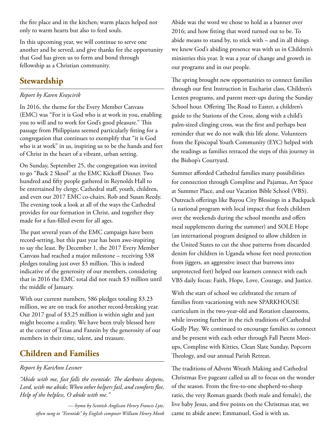the fire place and in the kitchen; warm places helped not only to warm hearts but also to feed souls.

In this upcoming year, we will continue to serve one another and be served, and give thanks for the opportunity that God has given us to form and bond through fellowship as a Christian community.

## **Stewardship**

### *Report by Karen Kraycirik*

In 2016, the theme for the Every Member Canvass (EMC) was "For it is God who is at work in you, enabling you to will and to work for God's good pleasure." This passage from Philippians seemed particularly fitting for a congregation that continues to exemplify that "it is God who is at work" in us, inspiring us to be the hands and feet of Christ in the heart of a vibrant, urban setting.

On Sunday, September 25, the congregation was invited to go "Back 2 Skool" at the EMC Kickoff Dinner. Two hundred and fifty people gathered in Reynolds Hall to be entertained by clergy, Cathedral staff, youth, children, and even our 2017 EMC co-chairs, Rob and Susan Reedy. The evening took a look at all of the ways the Cathedral provides for our formation in Christ, and together they made for a fun-filled event for all ages.

The past several years of the EMC campaign have been record-setting, but this past year has been awe-inspiring to say the least. By December 1, the 2017 Every Member Canvass had reached a major milestone – receiving 538 pledges totaling just over \$3 million. This is indeed indicative of the generosity of our members, considering that in 2016 the EMC total did not reach \$3 million until the middle of January.

With our current numbers, 586 pledges totaling \$3.23 million, we are on track for another record-breaking year. Our 2017 goal of \$3.25 million is within sight and just might become a reality. We have been truly blessed here at the corner of Texas and Fannin by the generosity of our members in their time, talent, and treasure.

## **Children and Families**

#### *Report by KariAnn Lessner*

*"Abide with me, fast falls the eventide: The darkness deepens, Lord, with me abide; When other helpers fail, and comforts flee, Help of the helpless, O abide with me."* 

> *— hymn by Scottish Anglican Henry Francis Lyte, often sung to "Eventide" by English composer William Henry Monk*

Abide was the word we chose to hold as a banner over 2016; and how fitting that word turned out to be. To abide means to stand by, to stick with – and in all things we knew God's abiding presence was with us in Children's ministries this year. It was a year of change and growth in our programs and in our people.

The spring brought new opportunities to connect families through our first Instruction in Eucharist class, Children's Lenten programs, and parent meet-ups during the Sunday School hour. Offering The Road to Easter, a children's guide to the Stations of the Cross, along with a child's palm-sized clinging cross, was the first and perhaps best reminder that we do not walk this life alone. Volunteers from the Episcopal Youth Community (EYC) helped with the readings as families retraced the steps of this journey in the Bishop's Courtyard.

Summer afforded Cathedral families many possibilities for connection through Compline and Pajamas, Art Space at Summer Place, and our Vacation Bible School (VBS). Outreach offerings like Bayou City Blessings in a Backpack (a national program with local impact that feeds children over the weekends during the school months and offers meal supplements during the summer) and SOLE Hope (an international program designed to allow children in the United States to cut the shoe patterns from discarded denim for children in Uganda whose feet need protection from jiggers, an aggressive insect that burrows into unprotected feet) helped our learners connect with each VBS daily focus: Faith, Hope, Love, Courage, and Justice.

With the start of school we celebrated the return of families from vacationing with new SPARKHOUSE curriculum in the two-year-old and Rotation classrooms, while investing further in the rich traditions of Cathedral Godly Play. We continued to encourage families to connect and be present with each other through Fall Parent Meetups, Compline with Kitties, Clean Slate Sunday, Popcorn Theology, and our annual Parish Retreat.

The traditions of Advent Wreath Making and Cathedral Christmas Eve pageant called us all to focus on the wonder of the season. From the five-to-one shepherd-to-sheep ratio, the very Roman guards (both male and female), the live baby Jesus, and five points on the Christmas star, we came to abide anew; Emmanuel, God is with us.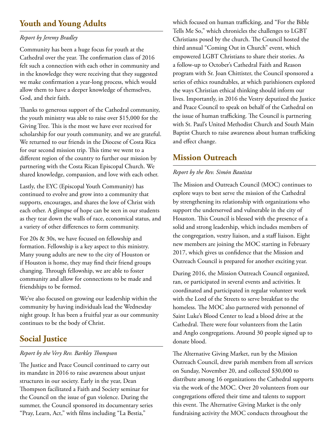## **Youth and Young Adults**

#### *Report by Jeremy Bradley*

Community has been a huge focus for youth at the Cathedral over the year. The confirmation class of 2016 felt such a connection with each other in community and in the knowledge they were receiving that they suggested we make confirmation a year-long process, which would allow them to have a deeper knowledge of themselves, God, and their faith.

Thanks to generous support of the Cathedral community, the youth ministry was able to raise over \$15,000 for the Giving Tree. This is the most we have ever received for scholarship for our youth community, and we are grateful. We returned to our friends in the Diocese of Costa Rica for our second mission trip. This time we went to a different region of the country to further our mission by partnering with the Costa Rican Episcopal Church. We shared knowledge, compassion, and love with each other.

Lastly, the EYC (Episcopal Youth Community) has continued to evolve and grow into a community that supports, encourages, and shares the love of Christ with each other. A glimpse of hope can be seen in our students as they tear down the walls of race, economical status, and a variety of other differences to form community.

For 20s & 30s, we have focused on fellowship and formation. Fellowship is a key aspect to this ministry. Many young adults are new to the city of Houston or if Houston is home, they may find their friend groups changing. Through fellowship, we are able to foster community and allow for connections to be made and friendships to be formed.

We've also focused on growing our leadership within the community by having individuals lead the Wednesday night group. It has been a fruitful year as our community continues to be the body of Christ.

## **Social Justice**

#### *Report by the Very Rev. Barkley Thompson*

The Justice and Peace Council continued to carry out its mandate in 2016 to raise awareness about unjust structures in our society. Early in the year, Dean Thompson facilitated a Faith and Society seminar for the Council on the issue of gun violence. During the summer, the Council sponsored its documentary series "Pray, Learn, Act," with films including "La Bestia,"

which focused on human trafficking, and "For the Bible Tells Me So," which chronicles the challenges to LGBT Christians posed by the church. The Council hosted the third annual "Coming Out in Church" event, which empowered LGBT Christians to share their stories. As a follow-up to October's Cathedral Faith and Reason program with Sr. Joan Chittister, the Council sponsored a series of ethics roundtables, at which parishioners explored the ways Christian ethical thinking should inform our lives. Importantly, in 2016 the Vestry deputized the Justice and Peace Council to speak on behalf of the Cathedral on the issue of human trafficking. The Council is partnering with St. Paul's United Methodist Church and South Main Baptist Church to raise awareness about human trafficking and effect change.

### **Mission Outreach**

#### *Report by the Rev. Simón Bautista*

The Mission and Outreach Council (MOC) continues to explore ways to best serve the mission of the Cathedral by strengthening its relationship with organizations who support the underserved and vulnerable in the city of Houston. This Council is blessed with the presence of a solid and strong leadership, which includes members of the congregation, vestry liaison, and a staff liaison. Eight new members are joining the MOC starting in February 2017, which gives us confidence that the Mission and Outreach Council is prepared for another exciting year.

During 2016, the Mission Outreach Council organized, ran, or participated in several events and activities. It coordinated and participated in regular volunteer work with the Lord of the Streets to serve breakfast to the homeless. The MOC also partnered with personnel of Saint Luke's Blood Center to lead a blood drive at the Cathedral. There were four volunteers from the Latin and Anglo congregations. Around 30 people signed up to donate blood.

The Alternative Giving Market, run by the Mission Outreach Council, drew parish members from all services on Sunday, November 20, and collected \$30,000 to distribute among 16 organizations the Cathedral supports via the work of the MOC. Over 20 volunteers from our congregations offered their time and talents to support this event. The Alternative Giving Market is the only fundraising activity the MOC conducts throughout the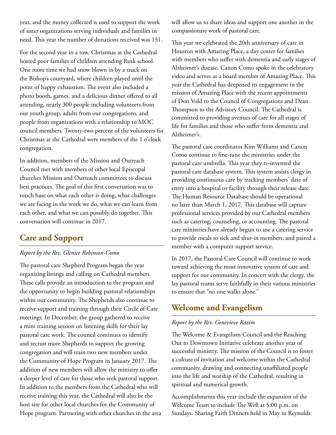year, and the money collected is used to support the work of sister organizations serving individuals and families in need. This year the number of donations received was 131.

For the second year in a row, Christmas at the Cathedral hosted poor families of children attending Rusk school. One more time we had snow blown in by a truck on the Bishop's courtyard, where children played until the point of happy exhaustion. The event also included a photo booth, games, and a delicious dinner offered to all attending, nearly 300 people including volunteers from our youth group, adults from our congregations, and people from organizations with a relationship to MOC council members. Twenty-two percent of the volunteers for Christmas at the Cathedral were members of the 1 o'clock congregation.

In addition, members of the Mission and Outreach Council met with members of other local Episcopal churches Mission and Outreach committees to discuss best practices. The goal of this first conversation was to touch base on what each other is doing, what challenges we are facing in the work we do, what we can learn from each other, and what we can possibly do together. This conversation will continue in 2017.

## **Care and Support**

#### *Report by the Rev. Glenice Robinson-Como*

The pastoral care Shepherd Program began the year organizing listings and calling on Cathedral members. These calls provide an introduction to the program and the opportunity to begin building pastoral relationships within our community. The Shepherds also continue to receive support and training through their Circle of Care meetings. In December, the group gathered to receive a mini training session on listening skills for their lay pastoral care work. The council continues to identify and recruit more Shepherds to support the growing congregation and will train two new members under the Community of Hope Program in January 2017. The addition of new members will allow the ministry to offer a deeper level of care for those who seek pastoral support. In addition to the members from the Cathedral who will receive training this year, the Cathedral will also be the host site for other local churches for the Community of Hope program. Partnering with other churches in the area will allow us to share ideas and support one another in the compassionate work of pastoral care.

This year we celebrated the 20th anniversary of care in Houston with Amazing Place, a day center for families with members who suffer with dementia and early stages of Alzheimer's disease. Canon Como spoke in the celebratory video and serves as a board member of Amazing Place. This year the Cathedral has deepened its engagement in the mission of Amazing Place with the recent appointments of Don Vold to the Council of Congregations and Dean Thompson to the Advisory Council. The Cathedral is committed to providing avenues of care for all stages of life for families and those who suffer from dementia and Alzheimer's.

The pastoral care coordinator Kim Williams and Canon Como continue to fine-tune the ministries under the pastoral care umbrella. This year they re-invented the pastoral care database system. This system assists clergy in providing continuous care by tracking members' date of entry into a hospital or facility through their release date. The Human Resource Database should be operational no later than March 1, 2017. This database will capture professional services provided by our Cathedral members such as catering, counseling, or accounting. The pastoral care ministries have already begun to use a catering service to provide meals to sick and shut-in members, and paired a member with a computer support service.

In 2017, the Pastoral Care Council will continue to work toward achieving the most innovative system of care and support for our community. In concert with the clergy, the lay pastoral teams serve faithfully in their various ministries to ensure that "no one walks alone."

## **Welcome and Evangelism**

#### *Report by the Rev. Genevieve Razim*

The Welcome & Evangelism Council and the Reaching Out to Downtown Initiative celebrate another year of successful ministry. The mission of the Council is to foster a culture of invitation and welcome within the Cathedral community, drawing and connecting unaffiliated people into the life and worship of the Cathedral, resulting in spiritual and numerical growth.

Accomplishments this year include the expansion of the Welcome Team to include The Well at 5:00 p.m. on Sundays. Sharing Faith Dinners held in May in Reynolds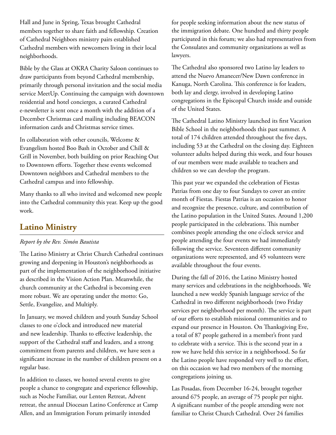Hall and June in Spring, Texas brought Cathedral members together to share faith and fellowship. Creation of Cathedral Neighbors ministry pairs established Cathedral members with newcomers living in their local neighborhoods.

Bible by the Glass at OKRA Charity Saloon continues to draw participants from beyond Cathedral membership, primarily through personal invitation and the social media service MeetUp. Continuing the campaign with downtown residential and hotel concierges, a curated Cathedral e-newsletter is sent once a month with the addition of a December Christmas card mailing including BEACON information cards and Christmas service times.

In collaboration with other councils, Welcome & Evangelism hosted Boo Bash in October and Chill & Grill in November, both building on prior Reaching Out to Downtown efforts. Together these events welcomed Downtown neighbors and Cathedral members to the Cathedral campus and into fellowship.

Many thanks to all who invited and welcomed new people into the Cathedral community this year. Keep up the good work.

## **Latino Ministry**

#### *Report by the Rev. Simón Bautista*

The Latino Ministry at Christ Church Cathedral continues growing and deepening in Houston's neighborhoods as part of the implementation of the neighborhood initiative as described in the Vision Action Plan. Meanwhile, the church community at the Cathedral is becoming even more robust. We are operating under the motto: Go, Settle, Evangelize, and Multiply.

In January, we moved children and youth Sunday School classes to one o'clock and introduced new material and new leadership. Thanks to effective leadership, the support of the Cathedral staff and leaders, and a strong commitment from parents and children, we have seen a significant increase in the number of children present on a regular base.

In addition to classes, we hosted several events to give people a chance to congregate and experience fellowship, such as Noche Familiar, our Lenten Retreat, Advent retreat, the annual Diocesan Latino Conference at Camp Allen, and an Immigration Forum primarily intended

for people seeking information about the new status of the immigration debate. One hundred and thirty people participated in this forum; we also had representatives from the Consulates and community organizations as well as lawyers.

The Cathedral also sponsored two Latino lay leaders to attend the Nuevo Amanecer/New Dawn conference in Kanuga, North Carolina. This conference is for leaders, both lay and clergy, involved in developing Latino congregations in the Episcopal Church inside and outside of the United States.

The Cathedral Latino Ministry launched its first Vacation Bible School in the neighborhoods this past summer. A total of 174 children attended throughout the five days, including 53 at the Cathedral on the closing day. Eighteen volunteer adults helped during this week, and four houses of our members were made available to teachers and children so we can develop the program.

This past year we expanded the celebration of Fiestas Patrias from one day to four Sundays to cover an entire month of Fiestas. Fiestas Patrias is an occasion to honor and recognize the presence, culture, and contribution of the Latino population in the United States. Around 1,200 people participated in the celebrations. This number combines people attending the one o'clock service and people attending the four events we had immediately following the service. Seventeen different community organizations were represented, and 45 volunteers were available throughout the four events.

During the fall of 2016, the Latino Ministry hosted many services and celebrations in the neighborhoods. We launched a new weekly Spanish language service of the Cathedral in two different neighborhoods (two Friday services per neighborhood per month). The service is part of our efforts to establish missional communities and to expand our presence in Houston. On Thanksgiving Eve, a total of 87 people gathered in a member's front yard to celebrate with a service. This is the second year in a row we have held this service in a neighborhood. So far the Latino people have responded very well to the effort, on this occasion we had two members of the morning congregations joining us.

Las Posadas, from December 16-24, brought together around 675 people, an average of 75 people per night. A significant number of the people attending were not familiar to Christ Church Cathedral. Over 24 families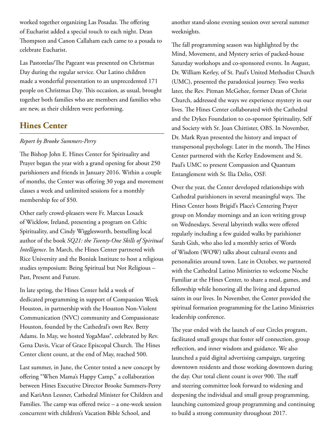worked together organizing Las Posadas. The offering of Eucharist added a special touch to each night. Dean Thompson and Canon Callaham each came to a posada to celebrate Eucharist.

Las Pastorelas/The Pageant was presented on Christmas Day during the regular service. Our Latino children made a wonderful presentation to an unprecedented 171 people on Christmas Day. This occasion, as usual, brought together both families who are members and families who are new, as their children were performing.

## **Hines Center**

### *Report by Brooke Summers-Perry*

The Bishop John E. Hines Center for Spirituality and Prayer began the year with a grand opening for about 250 parishioners and friends in January 2016. Within a couple of months, the Center was offering 30 yoga and movement classes a week and unlimited sessions for a monthly membership fee of \$50.

Other early crowd-pleasers were Fr. Marcus Losack of Wicklow, Ireland, presenting a program on Celtic Spirituality, and Cindy Wigglesworth, bestselling local author of the book *SQ21: the Twenty-One Skills of Spiritual Intelligence*. In March, the Hines Center partnered with Rice University and the Boniuk Institute to host a religious studies symposium: Being Spiritual but Not Religious – Past, Present and Future.

In late spring, the Hines Center held a week of dedicated programming in support of Compassion Week Houston, in partnership with the Houston Non-Violent Communication (NVC) community and Compassionate Houston, founded by the Cathedral's own Rev. Betty Adams. In May, we hosted YogaMass®, celebrated by Rev. Gena Davis, Vicar of Grace Episcopal Church. The Hines Center client count, at the end of May, reached 500.

Last summer, in June, the Center tested a new concept by offering "When Mama's Happy Camp," a collaboration between Hines Executive Director Brooke Summers-Perry and KariAnn Lessner, Cathedral Minister for Children and Families. The camp was offered twice – a one-week session concurrent with children's Vacation Bible School, and

another stand-alone evening session over several summer weeknights.

The fall programming season was highlighted by the Mind, Movement, and Mystery series of packed-house Saturday workshops and co-sponsored events. In August, Dr. William Kerley, of St. Paul's United Methodist Church (UMC), presented the paradoxical journey. Two weeks later, the Rev. Pitman McGehee, former Dean of Christ Church, addressed the ways we experience mystery in our lives. The Hines Center collaborated with the Cathedral and the Dykes Foundation to co-sponsor Spirituality, Self and Society with Sr. Joan Chittister, OBS. In November, Dr. Mark Ryan presented the history and impact of transpersonal psychology. Later in the month, The Hines Center partnered with the Kerley Endowment and St. Paul's UMC to present Compassion and Quantum Entanglement with Sr. Ilia Delio, OSF.

Over the year, the Center developed relationships with Cathedral parishioners in several meaningful ways. The Hines Center hosts Brigid's Place's Centering Prayer group on Monday mornings and an icon writing group on Wednesdays. Several labyrinth walks were offered regularly including a few guided walks by parishioner Sarah Gish, who also led a monthly series of Words of Wisdom (WOW) talks about cultural events and personalities around town. Late in October, we partnered with the Cathedral Latino Ministries to welcome Noche Familiar at the Hines Center, to share a meal, games, and fellowship while honoring all the living and departed saints in our lives. In November, the Center provided the spiritual formation programming for the Latino Ministries leadership conference.

The year ended with the launch of our Circles program, facilitated small groups that foster self connection, group reflection, and inner wisdom and guidance. We also launched a paid digital advertising campaign, targeting downtown residents and those working downtown during the day. Our total client count is over 900. The staff and steering committee look forward to widening and deepening the individual and small group programming, launching customized group programming and continuing to build a strong community throughout 2017.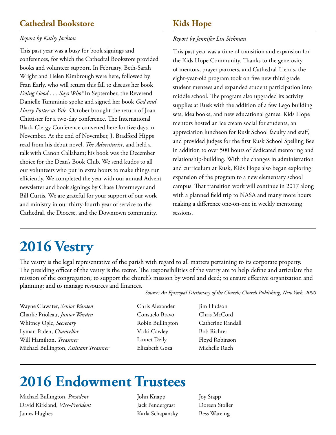## **Cathedral Bookstore**

### *Report by Kathy Jackson*

This past year was a busy for book signings and conferences, for which the Cathedral Bookstore provided books and volunteer support. In February, Beth-Sarah Wright and Helen Kimbrough were here, followed by Fran Early, who will return this fall to discuss her book *Doing Good . . . Says Who?* In September, the Reverend Danielle Tumminio spoke and signed her book *God and Harry Potter at Yale*. October brought the return of Joan Chittister for a two-day conference. The International Black Clergy Conference convened here for five days in November. At the end of November, J. Bradford Hipps read from his debut novel, *The Adventurist*, and held a talk with Canon Callaham; his book was the December choice for the Dean's Book Club. We send kudos to all our volunteers who put in extra hours to make things run efficiently. We completed the year with our annual Advent newsletter and book signings by Chase Untermeyer and Bill Curtis. We are grateful for your support of our work and ministry in our thirty-fourth year of service to the Cathedral, the Diocese, and the Downtown community.

## **Kids Hope**

#### *Report by Jennifer Lin Sickman*

This past year was a time of transition and expansion for the Kids Hope Community. Thanks to the generosity of mentors, prayer partners, and Cathedral friends, the eight-year-old program took on five new third grade student mentees and expanded student participation into middle school. The program also upgraded its activity supplies at Rusk with the addition of a few Lego building sets, idea books, and new educational games. Kids Hope mentors hosted an ice cream social for students, an appreciation luncheon for Rusk School faculty and staff, and provided judges for the first Rusk School Spelling Bee in addition to over 500 hours of dedicated mentoring and relationship-building. With the changes in administration and curriculum at Rusk, Kids Hope also began exploring expansion of the program to a new elementary school campus. That transition work will continue in 2017 along with a planned field trip to NASA and many more hours making a difference one-on-one in weekly mentoring sessions.

## **2016 Vestry**

The vestry is the legal representative of the parish with regard to all matters pertaining to its corporate property. The presiding officer of the vestry is the rector. The responsibilities of the vestry are to help define and articulate the mission of the congregation; to support the church's mission by word and deed; to ensure effective organization and planning; and to manage resources and finances.

*Source: An Episcopal Dictionary of the Church; Church Publishing, New York, 2000*

Wayne Clawater, *Senior Warden* Charlie Prioleau, *Junior Warden* Whitney Ogle, *Secretary* Lyman Paden, *Chancellor* Will Hamilton, *Treasurer* Michael Bullington, *Assistant Treasurer* Chris Alexander Consuelo Bravo Robin Bullington Vicki Cawley Linnet Deily Elizabeth Goza

Jim Hudson Chris McCord Catherine Randall Bob Richter Floyd Robinson Michelle Ruch

## **2016 Endowment Trustees**

Michael Bullington, *President* David Kirkland, *Vice-President* James Hughes

John Knapp Jack Pendergrast Karla Schapansky Joy Stapp Doreen Stoller Bess Wareing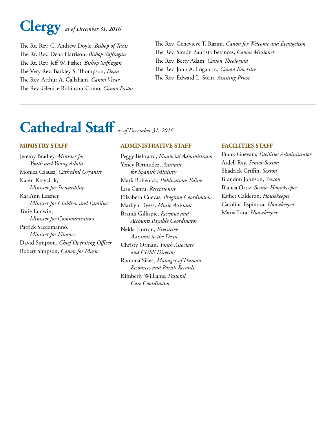## **Clergy** *as of December 31, 2016*

The Rt. Rev. C. Andrew Doyle, *Bishop of Texas* The Rt. Rev. Dena Harrison, *Bishop Suffragan* The Rt. Rev. Jeff W. Fisher, *Bishop Suffragan* The Very Rev. Barkley S. Thompson, *Dean* The Rev. Arthur A. Callaham, *Canon Vicar* The Rev. Glenice Robinson-Como, *Canon Pastor* The Rev. Genevieve T. Razim, *Canon for Welcome and Evangelism* The Rev. Simón Bautista Betances, *Canon Missioner* The Rev. Betty Adam, *Canon Theologian* The Rev. John A. Logan Jr., *Canon Emeritus* The Rev. Edward L. Stein, *Assisting Priest*

## **Cathedral Staff** *as of December 31, 2016*

#### **MINISTRY STAFF**

Jeremy Bradley, *Minister for Youth and Young Adults* Monica Czausz, *Cathedral Organist* Karen Kraycirik, *Minister for Stewardship* KariAnn Lessner, *Minister for Children and Families* Torie Ludwin, *Minister for Communication* Patrick Saccomanno, *Minister for Finance* David Simpson, *Chief Operating Officer* Robert Simpson, *Canon for Music*

#### **ADMINISTRATIVE STAFF**

Peggy Beltrami, *Financial Administrator* Yency Bermudez, *Assistant for Spanish Ministr*y Mark Bohenick, *Publications Editor* Lisa Cantu, *Receptionist* Elizabeth Cuevas, *Program Coordinator* Marilyn Dyess, *Music Assistant* Brandi Gillispie, *Revenue and Accounts Payable Coordinator* Nelda Horton, *Executive Assistant to the Dean* Christy Orman, *Youth Associate and CUSE Director* Ramona Sikes, *Manager of Human Resources and Parish Records* Kimberly Williams, *Pastoral Care Coordinator*

#### **FACILITIES STAFF**

Frank Guevara, *Facilities Administrator* Ardell Ray, *Senior Sexton* Shadrick Griffin, *Sexton* Brandon Johnson, *Sexton* Blanca Ortiz, *Senior Housekeeper* Esther Calderon, *Housekeeper* Carolina Espinoza, *Housekeeper* Maria Lara, *Housekeeper*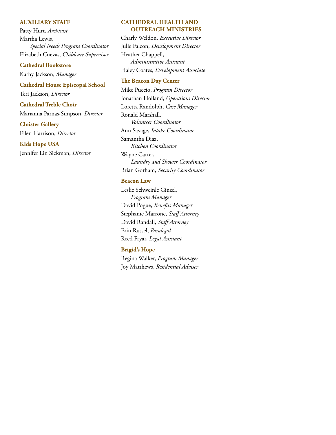#### **AUXILIARY STAFF**

Patty Hurt, *Archivist* Martha Lewis, *Special Needs Program Coordinator* Elizabeth Cuevas, *Childcare Supervisor*

#### **Cathedral Bookstore**

Kathy Jackson, *Manager*

## **Cathedral House Episcopal School**

Teri Jackson, *Director*

#### **Cathedral Treble Choir**

Marianna Parnas-Simpson, *Director*

#### **Cloister Gallery**

Ellen Harrison, *Director*

#### **Kids Hope USA**

Jennifer Lin Sickman, *Director*

#### **CATHEDRAL HEALTH AND OUTREACH MINISTRIES**

Charly Weldon, *Executive Director* Julie Falcon, *Development Director* Heather Chappell, *Administrative Assistant* Haley Coates, *Development Associate*

#### **The Beacon Day Center**

Mike Puccio, *Program Director* Jonathan Holland, *Operations Director* Loretta Randolph, *Case Manager* Ronald Marshall, *Volunteer Coordinator* Ann Savage, *Intake Coordinator* Samantha Diaz, *Kitchen Coordinator* Wayne Carter, *Laundry and Shower Coordinator* Brian Gorham, *Security Coordinator*

#### **Beacon Law**

Leslie Schweinle Ginzel, *Program Manager* David Pogue, *Benefits Manager* Stephanie Marrone, *Staff Attorney* David Randall, *Staff Attorney* Erin Russel, *Paralegal* Reed Fryar, *Legal Assistant*

#### **Brigid's Hope**

Regina Walker, *Program Manager* Joy Matthews, *Residential Adviser*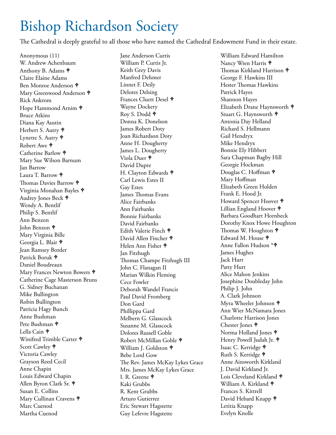## Bishop Richardson Society

The Cathedral is deeply grateful to all those who have named the Cathedral Endowment Fund in their estate.

Anonymous (11) W. Andrew Achenbaum Anthony B. Adams Claire Elaine Adams Ben Monroe Anderson Mary Greenwood Anderson  $\phi$ Rick Ankrom Hope Hammond Arnim  $\phi$ Bruce Atkins Diana Kay Austin Herbert S. Autry  $\mathbf{\Phi}$ Lynette S. Autry  $\mathbf{\hat{P}}$ Robert Awe Catherine Barlow  $\mathbf{\Phi}$ Mary Sue Wilson Barnum Jan Barrow Laura T. Barrow  $\phi$ Thomas Davies Barrow  $\hat{\mathbf{\Theta}}$ Virginia Monahan Bayles Audrey Jones Beck Wendy A. Bentlif Philip S. Bentlif Ann Benzon John Benzon Mary Virginia Bille Georgia L. Blair Jean Ramsey Border Patrick Boruk Daniel Boudreaux Mary Frances Newton Bowers Catherine Cage Masterson Bruns G. Sidney Buchanan Mike Bullington Robin Bullington Patricia Hagy Bunch Anne Bushman Pete Bushman Lella Cain  $\mathbf{\hat{P}}$ Winifred Trimble Carter  $\hat{\mathbf{\Theta}}$ Scott Cawley Victoria Cawley Grayson Reed Cecil Anne Chapin Louis Edward Chapin Allen Byron Clark Sr. Susan E. Collins Mary Cullinan Cravens Marc Cuenod Martha Cuenod

Jane Anderson Curtis William P. Curtis Jr. Keith Grey Davis Manfred Dehmer Linnet F. Deily Delores Delsing Frances Cluett Desel Wayne Dockery Roy S. Dodd Donna K. Donelson James Robert Doty Joan Richardson Doty Anne H. Dougherty James L. Dougherty Viola Duer David Dupre H. Clayton Edwards Carl Lewis Estes II Gay Estes James Thomas Evans Alice Fairbanks Ann Fairbanks Bonnie Fairbanks David Fairbanks Edith Valerie Finch David Allen Fincher Helen Ann Fisher Jan Fitzhugh Thomas Champe Fitzhugh III John C. Flanagan II Marian Wilkin Fleming Cece Fowler Deborah Wandel Francis Paul David Fromberg Don Gard Phillippa Gard Melbern G. Glasscock Susanne M. Glasscock Dolores Russell Goble Robert McMillan Goble William J. Goldston  $\hat{\mathsf{P}}$ Bebe Lord Gow The Rev. James McKay Lykes Grace Mrs. James McKay Lykes Grace I. R. Greene Kaki Grubbs R. Kent Grubbs Arturo Gutierrez Eric Stewart Hagstette Guy Lefevre Hagstette

William Edward Hamilton Nancy Wren Harris  $\phi$ Thomas Kirkland Harrison  $\mathbf{\hat{P}}$ George F. Hawkins III Hester Thomas Hawkins Patrick Hayes Shannon Hayes Elizabeth Drane Haynsworth Stuart G. Haynsworth Antonia Day Helland Richard S. Hellmann Gail Hendryx Mike Hendryx Bonnie Ely Hibbert Sara Chapman Bagby Hill Georgie Hockman Douglas C. Hoffman Mary Hoffman Elizabeth Green Holden Frank E. Hood Jr. Howard Spencer Hoover Lillian England Hoover Barbara Goodhart Hornbeck Dorothy Knox Howe Houghton Thomas W. Houghton  $\phi$ Edward M. House Anne Fallon Hudson \* James Hughes Jack Hurt Patty Hurt Alice Mahon Jenkins Josephine Doubleday John Philip J. John A. Clark Johnson Myra Wheeler Johnson  $\hat{\mathbf{\Theta}}$ Ann Wier McNamara Jones Charlotte Harrison Jones Chester Jones  $\hat{\mathbf{\tau}}$ Norma Holland Jones Henry Powell Judah Jr. Isaac C. Kerridge Ruth S. Kerridge Anne Ainsworth Kirkland J. David Kirkland Jr. Lois Cleveland Kirkland William A. Kirkland  $\hat{\mathbf{\Theta}}$ Frances S. Kittrell David Hebard Knapp  $\phi$ Letitia Knapp Evelyn Knolle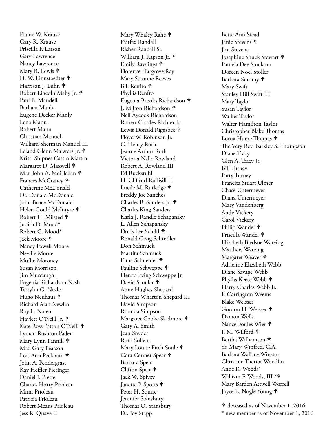Elaine W. Krause Gary R. Krause Priscilla F. Larson Gary Lawrence Nancy Lawrence Mary R. Lewis  $\mathbf{\Leftrightarrow}$ H. W. Linnstaedter Harrison J. Luhn Robert Lincoln Maby Jr.  $\phi$ Paul B. Mandell Barbara Manly Eugene Decker Manly Lena Mann Robert Mann Christian Manuel William Sherman Manuel III Leland Glenn Marsters Jr. Kristi Shipnes Cassin Martin Margaret D. Maxwell  $\textcolor{red}{\blacklozenge}$ Mrs. John A. McClellan �� Frances McCraney Catherine McDonald Dr. Donald McDonald John Bruce McDonald Helen Gould McIntyre  $\mathsf{\blacklozenge}$ Robert H. Milsted Judith D. Mood\* Robert G. Mood\* Jack Moore Nancy Powell Moore Neville Moore Muffie Moroney Susan Morrison Jim Murdaugh Eugenia Richardson Nash Terrylin G. Neale Hugo Neuhaus <sup>�</sup> Richard Alan Newlin Roy L. Nolen Haylett O'Neill Jr. Kate Ross Patton O'Neill Lyman Rushton Paden Mary Lynn Pannill † Mrs. Gary Pearson Lois Ann Peckham John A. Pendergrast Kay Heffler Pieringer Daniel J. Piette Charles Horry Prioleau Mimi Prioleau Patricia Prioleau Robert Means Prioleau Jess R. Quave II

Mary Whaley Rahe  $\textstyle \Phi$ Fairfax Randall Risher Randall Sr. William J. Rapson Jr. <sup>+</sup> Emily Rawlings Florence Hargrove Ray Mary Susanne Reeves Bill Renfro Phyllis Renfro Eugenia Brooks Richardson J. Milton Richardson Nell Aycock Richardson Robert Charles Richter Jr. Lewis Donald Riggsbee  $\text{\AA}$ Floyd W. Robinson Jr. C. Henry Roth Jeanne Arthur Roth Victoria Nalle Rowland Robert A. Rowland III Ed Ruckstuhl H. Clifford Rudisill II Lucile M. Rutledge <sup>+</sup> Freddy Joe Sanches Charles B. Sanders Jr. Charles King Sanders Karla J. Randle Schapansky L. Allen Schapansky Doris Lee Schild Ronald Craig Schindler Don Schmuck Martita Schmuck Elma Schneider Pauline Schweppe  $\mathsf{\Phi}$ Henry Irving Schweppe Jr. David Scoular  $\mathsf{\Phi}$ Anne Hughes Shepard Thomas Wharton Shepard III David Simpson Rhonda Simpson Margaret Cooke Skidmore  $\text{\AA}$ Gary A. Smith Jean Snyder Ruth Sollett Mary Louise Fitch Soule  $\textstyle \Phi$ Cora Conner Spear  $\mathsf{\Phi}$ Barbara Speir Clifton Speir Jack W. Spivey Janette P. Spotts  $\mathsf{\Phi}$ Peter H. Squire Jennifer Stansbury Thomas O. Stansbury Dr. Joy Stapp

Bette Ann Stead Janie Stevens Jim Stevens Josephine Shuck Stewart  $\mathbf{\blacklozenge}$ Pamela Dee Stockton Doreen Noel Stoller Barbara Summy Mary Swift Stanley Hill Swift III Mary Taylor Susan Taylor Walker Taylor Walter Hamilton Taylor Christopher Blake Thomas Lorna Hume Thomas  $\textcolor{red}{\blacklozenge}$ The Very Rev. Barkley S. Thompson Diane Tracy Glen A. Tracy Jr. Bill Turney Patty Turney Francita Stuart Ulmer Chase Untermeyer Diana Untermeyer Mary Vandenberg Andy Vickery Carol Vickery Philip Wandel  $\textcolor{red}{\blacklozenge}$ Priscilla Wandel Elizabeth Bledsoe Wareing Matthew Wareing Margaret Weaver  $\mathbf{\blacklozenge}$ Adrienne Elizabeth Webb Diane Savage Webb Phyllis Keese Webb Harry Charles Webb Jr. F. Carrington Weems Blake Weisser Gordon H. Weisser Damon Wells Nance Foules Wier I. M. Wilford Bertha Williamson Sr. Mary Winfred, C.A. Barbara Wallace Winston Christine Theriot Woodfin Anne R. Woods\* William F. Woods, III \* Mary Barden Attwell Worrell Joyce E. Nogle Young  $\textstyle \Phi$ 

 deceased as of November 1, 2016 \* new member as of November 1, 2016